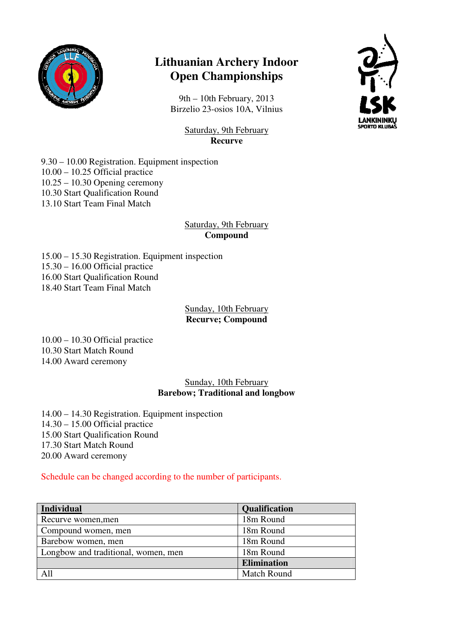

# **Lithuanian Archery Indoor Open Championships**

9th – 10th February, 2013 Birzelio 23-osios 10A, Vilnius



Saturday, 9th February **Recurve** 

9.30 – 10.00 Registration. Equipment inspection  $10.00 - 10.25$  Official practice 10.25 – 10.30 Opening ceremony 10.30 Start Qualification Round 13.10 Start Team Final Match

# Saturday, 9th February **Compound**

15.00 – 15.30 Registration. Equipment inspection 15.30 – 16.00 Official practice 16.00 Start Qualification Round 18.40 Start Team Final Match

#### Sunday, 10th February **Recurve; Compound**

10.00 – 10.30 Official practice 10.30 Start Match Round 14.00 Award ceremony

## Sunday, 10th February **Barebow; Traditional and longbow**

14.00 – 14.30 Registration. Equipment inspection 14.30 – 15.00 Official practice 15.00 Start Qualification Round 17.30 Start Match Round 20.00 Award ceremony

## Schedule can be changed according to the number of participants.

| <b>Individual</b>                   | Qualification      |
|-------------------------------------|--------------------|
| Recurve women, men                  | 18m Round          |
| Compound women, men                 | 18m Round          |
| Barebow women, men                  | 18m Round          |
| Longbow and traditional, women, men | 18m Round          |
|                                     | <b>Elimination</b> |
|                                     | <b>Match Round</b> |
|                                     |                    |